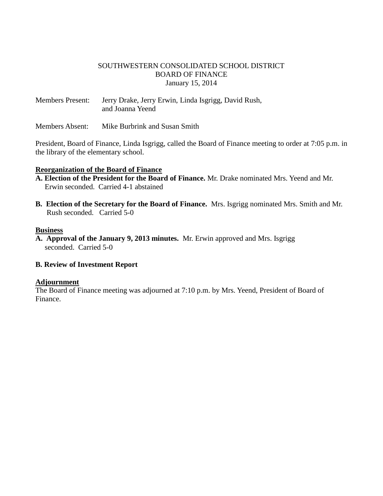### SOUTHWESTERN CONSOLIDATED SCHOOL DISTRICT BOARD OF FINANCE January 15, 2014

Members Present: Jerry Drake, Jerry Erwin, Linda Isgrigg, David Rush, and Joanna Yeend

Members Absent: Mike Burbrink and Susan Smith

President, Board of Finance, Linda Isgrigg, called the Board of Finance meeting to order at 7:05 p.m. in the library of the elementary school.

### **Reorganization of the Board of Finance**

- **A. Election of the President for the Board of Finance.** Mr. Drake nominated Mrs. Yeend and Mr. Erwin seconded. Carried 4-1 abstained
- **B. Election of the Secretary for the Board of Finance.** Mrs. Isgrigg nominated Mrs. Smith and Mr. Rush seconded. Carried 5-0

### **Business**

**A. Approval of the January 9, 2013 minutes.** Mr. Erwin approved and Mrs. Isgrigg seconded. Carried 5-0

### **B. Review of Investment Report**

### **Adjournment**

The Board of Finance meeting was adjourned at 7:10 p.m. by Mrs. Yeend, President of Board of Finance.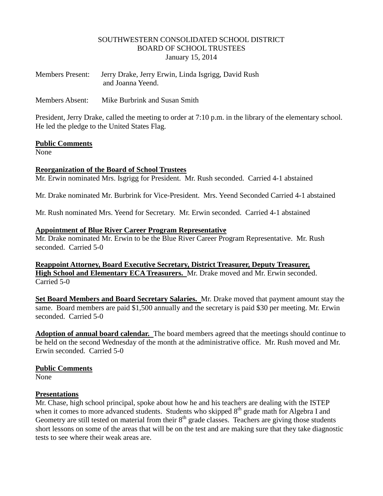### SOUTHWESTERN CONSOLIDATED SCHOOL DISTRICT BOARD OF SCHOOL TRUSTEES January 15, 2014

| <b>Members Present:</b> | Jerry Drake, Jerry Erwin, Linda Isgrigg, David Rush |
|-------------------------|-----------------------------------------------------|
|                         | and Joanna Yeend.                                   |

Members Absent: Mike Burbrink and Susan Smith

President, Jerry Drake, called the meeting to order at 7:10 p.m. in the library of the elementary school. He led the pledge to the United States Flag.

#### **Public Comments**

None

### **Reorganization of the Board of School Trustees**

Mr. Erwin nominated Mrs. Isgrigg for President. Mr. Rush seconded. Carried 4-1 abstained

Mr. Drake nominated Mr. Burbrink for Vice-President. Mrs. Yeend Seconded Carried 4-1 abstained

Mr. Rush nominated Mrs. Yeend for Secretary. Mr. Erwin seconded. Carried 4-1 abstained

#### **Appointment of Blue River Career Program Representative**

Mr. Drake nominated Mr. Erwin to be the Blue River Career Program Representative. Mr. Rush seconded. Carried 5-0

**Reappoint Attorney, Board Executive Secretary, District Treasurer, Deputy Treasurer, High School and Elementary ECA Treasurers.** Mr. Drake moved and Mr. Erwin seconded. Carried 5-0

**Set Board Members and Board Secretary Salaries.** Mr. Drake moved that payment amount stay the same. Board members are paid \$1,500 annually and the secretary is paid \$30 per meeting. Mr. Erwin seconded. Carried 5-0

**Adoption of annual board calendar.** The board members agreed that the meetings should continue to be held on the second Wednesday of the month at the administrative office.Mr. Rush moved and Mr. Erwin seconded. Carried 5-0

### **Public Comments**

None

### **Presentations**

Mr. Chase, high school principal, spoke about how he and his teachers are dealing with the ISTEP when it comes to more advanced students. Students who skipped  $8<sup>th</sup>$  grade math for Algebra I and Geometry are still tested on material from their  $8<sup>th</sup>$  grade classes. Teachers are giving those students short lessons on some of the areas that will be on the test and are making sure that they take diagnostic tests to see where their weak areas are.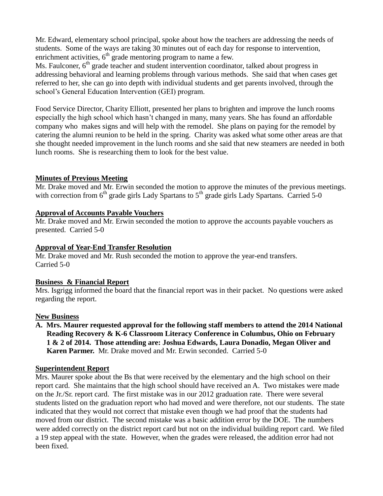Mr. Edward, elementary school principal, spoke about how the teachers are addressing the needs of students. Some of the ways are taking 30 minutes out of each day for response to intervention, enrichment activities,  $6<sup>th</sup>$  grade mentoring program to name a few.

Ms. Faulconer, 6<sup>th</sup> grade teacher and student intervention coordinator, talked about progress in addressing behavioral and learning problems through various methods. She said that when cases get referred to her, she can go into depth with individual students and get parents involved, through the school's General Education Intervention (GEI) program.

Food Service Director, Charity Elliott, presented her plans to brighten and improve the lunch rooms especially the high school which hasn't changed in many, many years. She has found an affordable company who makes signs and will help with the remodel. She plans on paying for the remodel by catering the alumni reunion to be held in the spring. Charity was asked what some other areas are that she thought needed improvement in the lunch rooms and she said that new steamers are needed in both lunch rooms. She is researching them to look for the best value.

## **Minutes of Previous Meeting**

Mr. Drake moved and Mr. Erwin seconded the motion to approve the minutes of the previous meetings. with correction from  $6<sup>th</sup>$  grade girls Lady Spartans to  $5<sup>th</sup>$  grade girls Lady Spartans. Carried 5-0

### **Approval of Accounts Payable Vouchers**

Mr. Drake moved and Mr. Erwin seconded the motion to approve the accounts payable vouchers as presented. Carried 5-0

### **Approval of Year-End Transfer Resolution**

Mr. Drake moved and Mr. Rush seconded the motion to approve the year-end transfers. Carried 5-0

### **Business & Financial Report**

Mrs. Isgrigg informed the board that the financial report was in their packet. No questions were asked regarding the report.

### **New Business**

**A. Mrs. Maurer requested approval for the following staff members to attend the 2014 National Reading Recovery & K-6 Classroom Literacy Conference in Columbus, Ohio on February 1 & 2 of 2014. Those attending are: Joshua Edwards, Laura Donadio, Megan Oliver and Karen Parmer.** Mr. Drake moved and Mr. Erwin seconded. Carried 5-0

### **Superintendent Report**

Mrs. Maurer spoke about the Bs that were received by the elementary and the high school on their report card. She maintains that the high school should have received an A. Two mistakes were made on the Jr./Sr. report card. The first mistake was in our 2012 graduation rate. There were several students listed on the graduation report who had moved and were therefore, not our students. The state indicated that they would not correct that mistake even though we had proof that the students had moved from our district. The second mistake was a basic addition error by the DOE. The numbers were added correctly on the district report card but not on the individual building report card. We filed a 19 step appeal with the state. However, when the grades were released, the addition error had not been fixed.